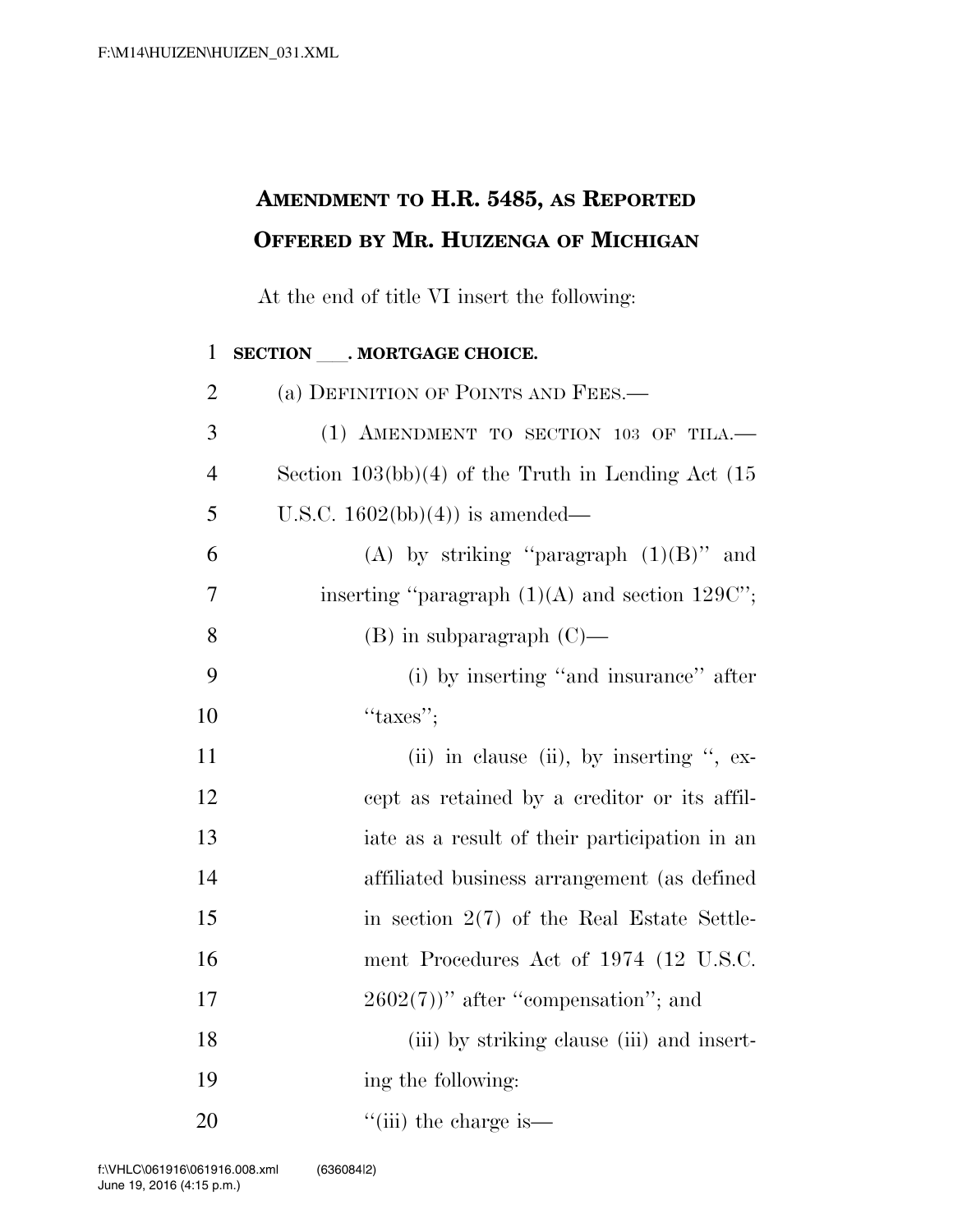## **AMENDMENT TO H.R. 5485, AS REPORTED OFFERED BY MR. HUIZENGA OF MICHIGAN**

At the end of title VI insert the following:

## 1 **SECTION** . MORTGAGE CHOICE. 2 (a) DEFINITION OF POINTS AND FEES.— 3 (1) AMENDMENT TO SECTION 103 OF TILA.— 4 Section 103(bb)(4) of the Truth in Lending Act (15 5 U.S.C.  $1602(b) (4)$  is amended— 6 (A) by striking "paragraph  $(1)(B)$ " and 7 inserting "paragraph  $(1)(A)$  and section 129C"; 8 (B) in subparagraph  $(C)$ — 9 (i) by inserting ''and insurance'' after  $10$  ''taxes''; 11 (ii) in clause (ii), by inserting ", ex-12 cept as retained by a creditor or its affil-13 iate as a result of their participation in an 14 affiliated business arrangement (as defined 15 in section 2(7) of the Real Estate Settle-16 ment Procedures Act of 1974 (12 U.S.C. 17  $2602(7)$ " after "compensation"; and 18 (iii) by striking clause (iii) and insert-19 ing the following: 20  $\frac{1}{\sin}$  the charge is—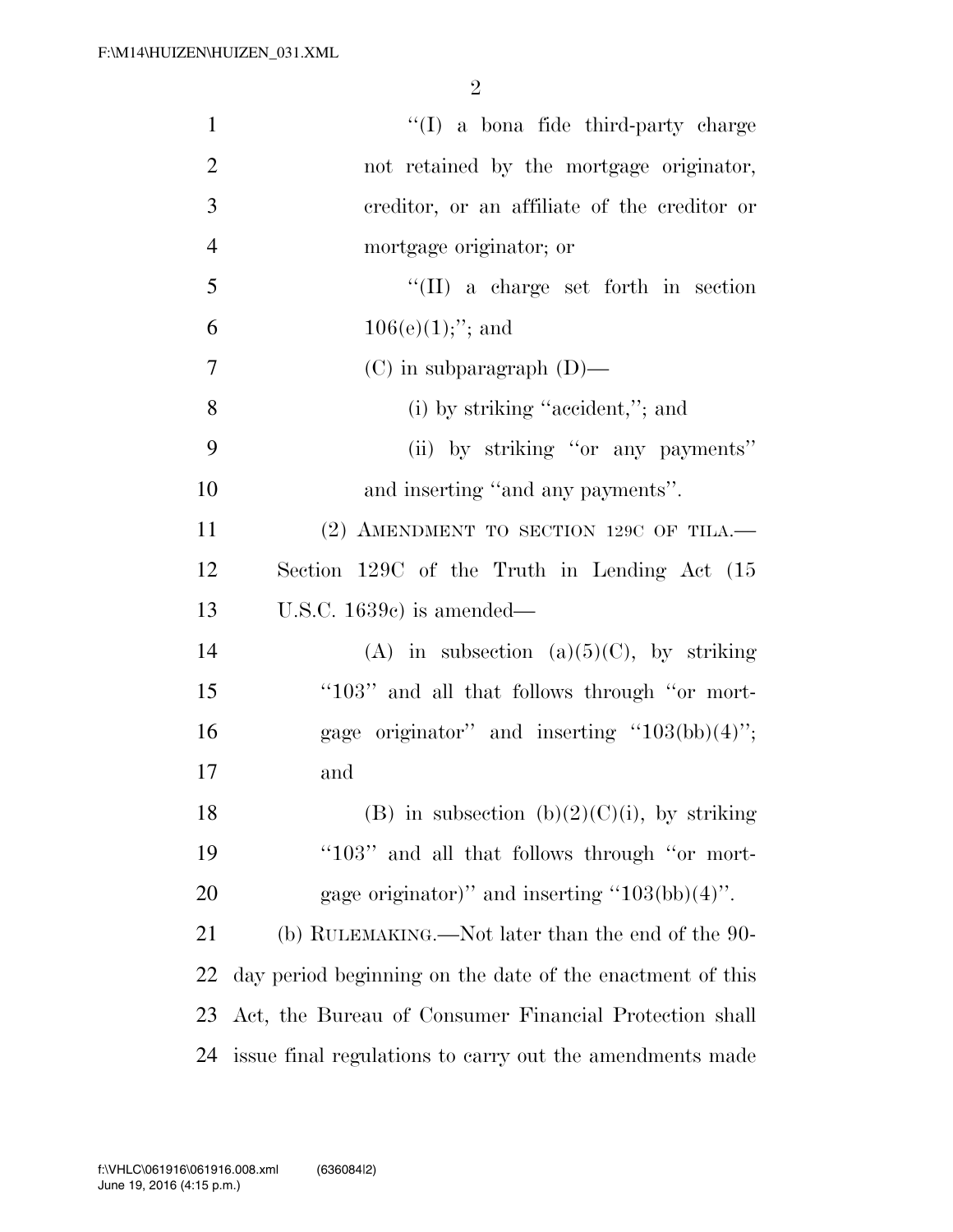| $\mathbf{1}$   | $\lq\lq$ a bona fide third-party charge                   |
|----------------|-----------------------------------------------------------|
| $\overline{2}$ | not retained by the mortgage originator,                  |
| 3              | ereditor, or an affiliate of the creditor or              |
| $\overline{4}$ | mortgage originator; or                                   |
| 5              | "(II) a charge set forth in section                       |
| 6              | $106(e)(1);$ "; and                                       |
| 7              | $(C)$ in subparagraph $(D)$ —                             |
| 8              | (i) by striking "accident,"; and                          |
| 9              | (ii) by striking "or any payments"                        |
| 10             | and inserting "and any payments".                         |
| 11             | $(2)$ AMENDMENT TO SECTION 129C OF TILA.                  |
| 12             | Section 129C of the Truth in Lending Act (15              |
| 13             | U.S.C. $1639c$ is amended—                                |
| 14             | (A) in subsection (a) $(5)(C)$ , by striking              |
| 15             | "103" and all that follows through "or mort-              |
| 16             | gage originator" and inserting " $103(bb)(4)$ ";          |
| 17             | and                                                       |
| 18             | (B) in subsection (b) $(2)(C)(i)$ , by striking           |
| 19             | "103" and all that follows through "or mort-              |
| 20             | gage originator)" and inserting " $103(bb)(4)$ ".         |
| 21             | (b) RULEMAKING.—Not later than the end of the 90-         |
| <u>22</u>      | day period beginning on the date of the enactment of this |
| 23             | Act, the Bureau of Consumer Financial Protection shall    |
| 24             | issue final regulations to carry out the amendments made  |